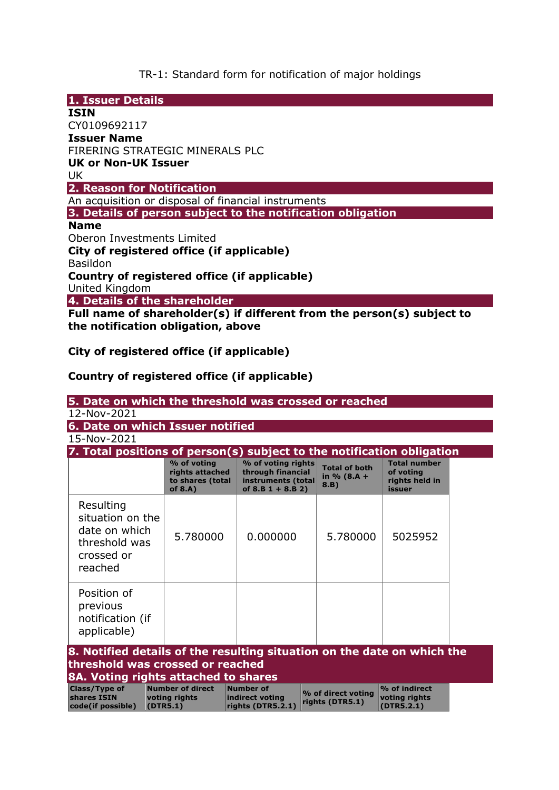TR-1: Standard form for notification of major holdings

| 1. Issuer Details                                                      |  |  |  |  |  |  |  |
|------------------------------------------------------------------------|--|--|--|--|--|--|--|
| <b>ISIN</b>                                                            |  |  |  |  |  |  |  |
| CY0109692117                                                           |  |  |  |  |  |  |  |
| <b>Issuer Name</b>                                                     |  |  |  |  |  |  |  |
| FIRERING STRATEGIC MINERALS PLC                                        |  |  |  |  |  |  |  |
| <b>UK or Non-UK Issuer</b>                                             |  |  |  |  |  |  |  |
| UK.                                                                    |  |  |  |  |  |  |  |
| 2. Reason for Notification                                             |  |  |  |  |  |  |  |
| An acquisition or disposal of financial instruments                    |  |  |  |  |  |  |  |
| 3. Details of person subject to the notification obligation            |  |  |  |  |  |  |  |
| <b>Name</b>                                                            |  |  |  |  |  |  |  |
| Oberon Investments Limited                                             |  |  |  |  |  |  |  |
| City of registered office (if applicable)                              |  |  |  |  |  |  |  |
| <b>Basildon</b>                                                        |  |  |  |  |  |  |  |
| Country of registered office (if applicable)                           |  |  |  |  |  |  |  |
| United Kingdom                                                         |  |  |  |  |  |  |  |
| 4. Details of the shareholder                                          |  |  |  |  |  |  |  |
| Full name of shareholder(s) if different from the person(s) subject to |  |  |  |  |  |  |  |
| the notification obligation, above                                     |  |  |  |  |  |  |  |
|                                                                        |  |  |  |  |  |  |  |

**City of registered office (if applicable)** 

**Country of registered office (if applicable)** 

| 5. Date on which the threshold was crossed or reached                                                                                               |                                                                  |                                                                                      |                                                 |                                                              |  |  |  |  |  |  |
|-----------------------------------------------------------------------------------------------------------------------------------------------------|------------------------------------------------------------------|--------------------------------------------------------------------------------------|-------------------------------------------------|--------------------------------------------------------------|--|--|--|--|--|--|
| 12-Nov-2021                                                                                                                                         |                                                                  |                                                                                      |                                                 |                                                              |  |  |  |  |  |  |
| 6. Date on which Issuer notified                                                                                                                    |                                                                  |                                                                                      |                                                 |                                                              |  |  |  |  |  |  |
| 15-Nov-2021                                                                                                                                         |                                                                  |                                                                                      |                                                 |                                                              |  |  |  |  |  |  |
| 7. Total positions of person(s) subject to the notification obligation                                                                              |                                                                  |                                                                                      |                                                 |                                                              |  |  |  |  |  |  |
|                                                                                                                                                     | % of voting<br>rights attached<br>to shares (total<br>of $8.A$ ) | % of voting rights<br>through financial<br>instruments (total<br>of $8.B 1 + 8.B 2)$ | <b>Total of both</b><br>in $% (8.A + )$<br>8.B) | <b>Total number</b><br>of voting<br>rights held in<br>issuer |  |  |  |  |  |  |
| Resulting<br>situation on the<br>date on which<br>threshold was<br>crossed or<br>reached                                                            | 5.780000                                                         | 0.000000                                                                             | 5.780000                                        | 5025952                                                      |  |  |  |  |  |  |
| Position of<br>previous<br>notification (if<br>applicable)                                                                                          |                                                                  |                                                                                      |                                                 |                                                              |  |  |  |  |  |  |
| 8. Notified details of the resulting situation on the date on which the<br>threshold was crossed or reached<br>8A. Voting rights attached to shares |                                                                  |                                                                                      |                                                 |                                                              |  |  |  |  |  |  |
| <b>Class/Type of</b><br>shares ISIN<br>code(if possible)                                                                                            | <b>Number of direct</b><br>voting rights<br>(DTR5.1)             | <b>Number of</b><br>indirect voting<br>rights (DTR5.2.1)                             | % of direct voting<br>rights (DTR5.1)           | % of indirect<br>voting rights<br>(DTR5.2.1)                 |  |  |  |  |  |  |